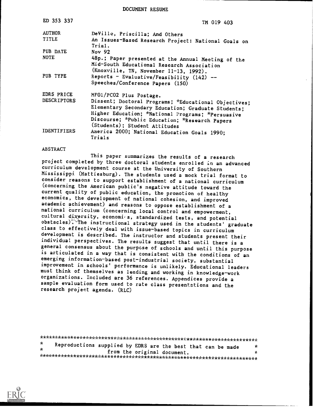DOCUMENT RESUME

| ED 353 337         | TM 019 403                                                                                                                                                                                                        |
|--------------------|-------------------------------------------------------------------------------------------------------------------------------------------------------------------------------------------------------------------|
| <b>AUTHOR</b>      | DeVille, Priscilla; And Others                                                                                                                                                                                    |
| TITLE              | An Issues-Based Research Project: National Goals on<br>Trial.                                                                                                                                                     |
| PUB DATE           | Nov 92                                                                                                                                                                                                            |
| <b>NOTE</b>        | 48p.; Paper presented at the Annual Meeting of the<br>Mid-South Educational Research Association<br>(Knoxville, TN, November 11-13, 1992).                                                                        |
| PUB TYPE           | Reports - Evaluative/Feasibility $(142)$ --<br>Speeches/Conference Papers (150)                                                                                                                                   |
| EDRS PRICE         | MF01/PC02 Plus Postage.                                                                                                                                                                                           |
| <b>DESCRIPTORS</b> | Dissent; Doctoral Programs; *Educational Objectives;<br>Elementary Secondary Education; Graduate Students;<br>Higher Education; *National Programs; *Persuasive<br>Discourse; *Public Education; *Research Papers |
| <b>IDENTIFIERS</b> | (Students); Student Attitudes<br>America 2000; National Education Goals 1990;<br>Trials                                                                                                                           |

#### ABSTRACT

This paper summarizes the results of a research project completed by three doctoral students enrolled in an advanced curriculum development course at the University of Southern Mississippi (Hattiesburg). The students used a mock trial format to consider reasons to support establishment of a national curriculum (concerning the American public's negative attitude toward the current quality of public education, the promotion of healthy economics, the development of national cohesion, and improved academic achievement) and reasons to oppose establishment of a national curriculum (concerning local control and empowerment, cultural diversity, economics, standardized tests, and potential obstacles): The instructional strategy used in the students' graduate class to effectively deal with issue-based topics in curriculum development is described. The instructor and students present their individual perspectives. The results suggest that until there is a general consensus about the purpose of schools and until this purpose<br>is articulated in a way that is consistent with the conditions of an emerging information-based post-industrial society, substantial improvement in schools' performance is unlikely. Educational leaders must think of themselves as leading and working in knowledge-work organizations. Included are 36 references. Appendices provide a sample evaluation form used to rate class presentations and the research project agenda. (RLC)

\*\*\*\*\*\*\*\*\*\*\*\*\*\*\*\*\*\*\*\*\*\*\*\*\*\*\*\*\*\*\*\*\*\*\*\*\*\*\*\*\*\*\*\*\*\*\*\*\*\*\*\*\*\*\*\*\*\*\*\*\*\*\*\*\*\*\*\*\*\*\* Reproductions supplied by EDRS are the best that can be made from the original document. ٠ \*\*\*\*\*\*\*\*\*\*\*\*\*\*\*\*\*\*\*\*\*\*\*\*\*\*\*\*\*\*\*\*\*\*\*\*\*\*\*\*\*\*\*\*\*\*\*\*\*\*\*\*\*\*\*\*\*\*\*\*\*\*\*\*\*\*\*\*\*\*\*

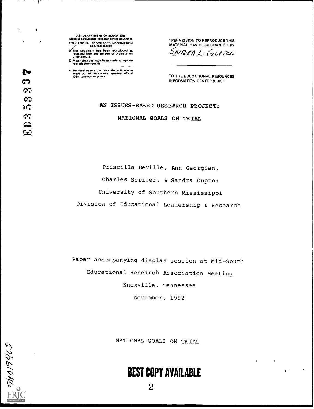- U.S. DEPARTMENT OF EDUCATION Office of Educational Research and Improvement EDUCATIONAL RESOURCES INFORMATION
- CENTER (ERIC)<br>In This document has been reproduced as<br>received from the pa son or organization onginating it.
- 0 Minor changes have been mad\* to improve reproduction Quality

Points of view or opinions stated in this docu-ment do not necessarily represent official OERI position or policy

"PERMISSION TO REPRODUCE THIS MATERIAL HAS BEEN GRANTED BY

 $S$ ANDRA $\lambda$ . GUPTON

TO THE EDUCATIONAL RESOURCES INFORMATION CENTER (ERIC)."

## AN ISSUES-BASED RESEARCH PROJECT: NATIONAL GOALS ON TRIAL

Priscilla DeVille, Ann Georgian, Charles Scriber, & Sandra Gupton University of Southern Mississippi Division of Educational Leadership & Research

Paper accompanying display session at Mid-South Educational Research Association Meeting Knoxville, Tennessee November, 1992

NATIONAL GOALS ON TRIAL

# BEST COPY AVAILABLE

2

 $\frac{1}{2}$ 

 $\sim$ 

 $\epsilon$ 

- 15

 $\mathbf{r}$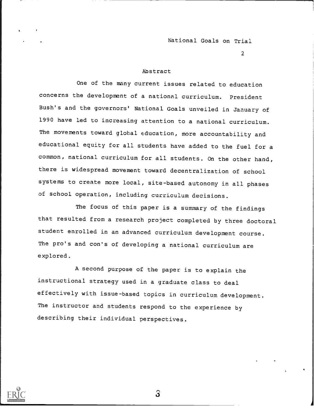2

## Abstract

One of the many current issues related to education concerns the development of a national curriculum. President Bush's and the governors' National Goals unveiled in January of 1990 have led to increasing attention to a national curriculum. The movements toward global education, more accountability and educational equity for all students have added to the fuel for a common, national curriculum for all students. On the other hand, there is widespread movement toward decentralization of school systems to create more local, site-based autonomy in all phases of school operation, including curriculum decisions.

The focus of this paper is a summary of the findings that resulted from a research project completed by three doctoral student enrolled in an advanced curriculum development course. The pro's and con's of developing a national curriculum are explored.

A second purpose of the paper is to explain the instructional strategy used in a graduate class to deal effectively with issue-based topics in curriculum development. The instructor and students respond to the experience by describing their individual perspectives.



 $\mathbf{S}$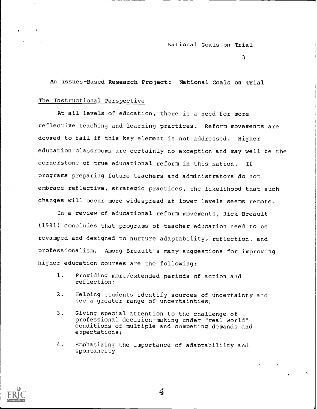3

An Issues-Based Research Project: National Goals on Trial

#### The Instructional Perspective

At all levels of education, there is a need for more reflective teaching and learning practices. Reform movements are doomed to fail if this key element is not addressed. Higher education classrooms are certainly no exception and may well be the cornerstone of true educational reform in this nation. If programs preparing future teachers and administrators do not embrace reflective, strategic practices, the likelihood that such changes will occur more widespread at lower levels seems remote.

In a review of educational reform movements, Rick Breault (1991) concludes that programs of teacher education need to be revamped and designed to nurture adaptability, reflection, and professionalism. Among Breault's many suggestions for improving higher education courses are the following:

- 1. Providing more /extended periods of action and reflection;
- 2. Helping students identify sources of uncertainty and see a greater range of uncertainties;
- 3. Giving special attention to the challenge of professional decision-making under "real world" conditions of multiple and competing demands and expectations;
- 4. Emphasizing the importance of adaptabililty and spontaneity

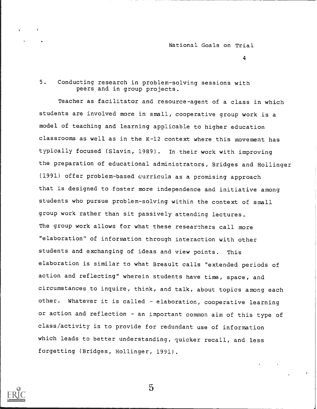4

## 5. Conducting research in problem-solving sessions with peers and in group projects.

Teacher as facilitator and resource-agent of a class in which students are involved more in small, cooperative group work is a model of teaching and learning applicable to higher education classrooms as well as in the K-12 context where this movement has typically focused (Slavin, 1989). In their work with improving the preparation of educational administrators, Bridges and Hollinger (1991) offer problem-based curricula as a promising approach that is designed to foster more independence and initiative among students who pursue problem-solving within the context of small group work rather than sit passively attending lectures. The group work allows for what these researchers call more "elaboration" of information through interaction with other students and exchanging of ideas and view points. This elaboration is similar to what Breault calls "extended periods of action and reflecting" wherein students have time, space, and circumstances to inquire, think, and talk, about topics among each other. Whatever it is called - elaboration, cooperative learning or action and reflection - an important common aim of this type of class/activity is to provide for redundant use of information which leads to better understanding, quicker recall, and less forgetting (Bridges, Hollinger, 1991).

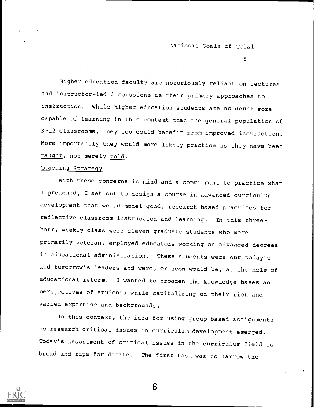$\overline{5}$ 

Higher education faculty are notoriously reliant on lectures and instructor-led discussions as their primary approaches to instruction. While higher education students are no doubt more capable of learning in this context than the general population of K-12 classrooms, they too could benefit from improved instruction. More importantly they would more likely practice as they have been taught, not merely told.

## Teaching Strategy

With these concerns in mind and a commitment to practice what I preached, I set out to design a course in advanced curriculum development that would model good, research-based practices for reflective classroom instruction and learning. In this threehour, weekly class were eleven graduate students who were primarily veteran, employed educators working on advanced degrees in educational administration. These students were our today's and tomorrow's leaders and were, or soon would be, at the helm of educational reform. I wanted to broaden the knowledge bases and perspectives of students while capitalizing on their rich and varied expertise and backgrounds.

In this context, the idea for using group-based assignments to research critical issues in curriculum development emerged. Today's assortment of critical issues in the curriculum field is broad and ripe for debate. The first task was to narrow the

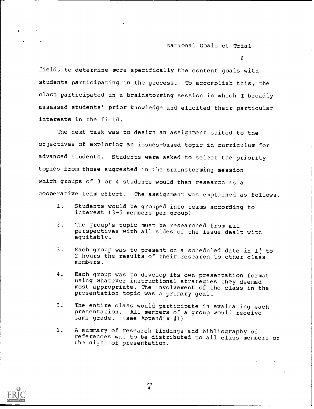6

field, to determine more specifically the content goals with students participating in the process. To accomplish this, the class participated in a brainstorming session in which I broadly assessed students' prior knowledge and elicited their particular interests in the field.

The next task was to design an assignment suited to the objectives of exploring an issues-based topic in curriculum for advanced students. Students were asked to select the priority topics from those suggested in the brainstorming session which groups of 3 or 4 students would then research as a cooperative team effort. The assignment was explained as follows.

- 1. Students would be grouped into teams according to interest (3-5 members per group)
- 2. The group's topic must be researched from all perspectives with all sides of the issue dealt with equitably.
- 3. Each group was to present on a scheduled date in  $1\frac{1}{2}$  to 2 hours the results of their research to other class members.
- 4. Each group was to develop its own presentation format using whatever instructional strategies they deemed most appropriate. The involvement of the class in the presentation topic was a primary goal.
- 5. The entire class would participate in evaluating each presentation. All members of a group would receive same grade. (see Appendix #1)
- 6. A summary of research findings and bibliography of references was to be distributed to all class members on the night of presentation.

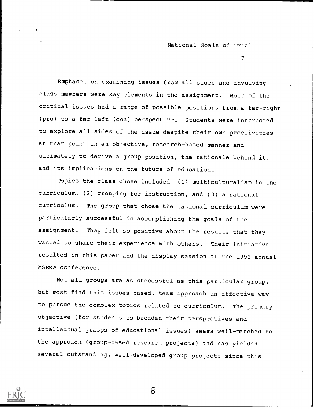$T_{\rm{max}}$  and  $T_{\rm{max}}$ 

Emphases on examining issues from all sides and involving class members were key elements in the assignment. Most of the critical issues had a range of possible positions from a far-right (pro) to a far-left (con) perspective. Students were instructed to explore all sides of the issue despite their own proclivities at that point in an objective, research-based manner and ultimately to derive a group position, the rationale behind it, and its implications on the future of education.

Topics the class chose included (1) multiculturalism in the curriculum, (2) grouping for instruction, and (3) a national curriculum. The group that chose the national curriculum were particularly successful in accomplishing the goals of the assignment. They felt so positive about the results that they wanted to share their experience with others. Their initiative resulted in this paper and the display session at the 1992 annual MSERA conference.

Not all groups are as successful as this particular group, but most find this issues-based, team approach an effective way to pursue the complex topics related to curriculum. The primary objective (for students to broaden their perspectives and intellectual grasps of educational issues) seems well-matched to the approach (group-based research projects) and has yielded several outstanding, well-developed group projects since this

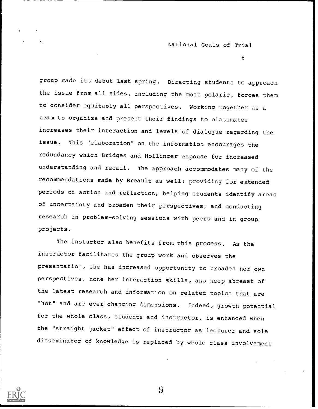8

group made its debut last spring. Directing students to approach the issue from all sides, including the most polaric, forces them to consider equitably all perspectives. Working together as a team to organize and present their findings to classmates increases their interaction and levels of dialogue regarding the issue. This "elaboration" on the information encourages the redundancy which Bridges and Hollinger espouse for increased understanding and recall. The approach accommodates many of the recommendations made by Breault as well: providing for extended periods of action and reflection; helping students identify areas of uncertainty and broaden their perspectives; and conducting research in problem-solving sessions with peers and in group projects.

The instuctor also benefits from this process. As the instructor facilitates the group work and observes the presentation, she has increased opportunity to broaden her own perspectives, hone her interaction skills, and keep abreast of the latest research and information on related topics that are "hot" and are ever changing dimensions. Indeed, growth potential for the whole class, students and instructor, is enhanced when the "straight jacket" effect of instructor as lecturer and sole disseminator of knowledge is replaced by whole class involvement

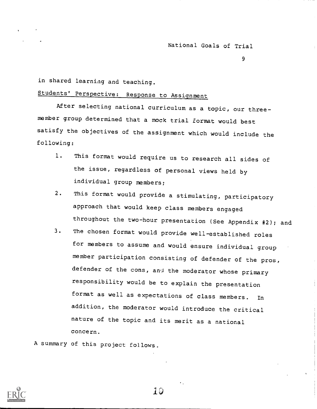9

in shared learning and teaching.

## Students' Perspective: Response to Assignment

After selecting national curriculum as a topic, our threemember group determined that a mock trial format would best satisfy the objectives of the assignment which would include the following:

- 1. This format would require us to research all sides of the issue, regardless of personal views held by individual group members;
- 2. This format would provide a stimulating, participatory approach that would keep class members engaged throughout the two-hour presentation (See Appendix #2); and
- 3. The chosen format would provide well-established roles for members to assume and would ensure individual group member participation consisting of defender of the pros, defender of the cons, and the moderator whose primary responsibility would be to explain the presentation format as well as expectations of class members. In addition, the moderator would introduce the critical nature of the topic and its merit as a national concern.

A summary of this project follows.

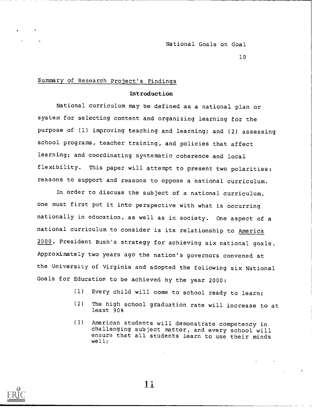National Goals on Goal

10

## Summary of Research Project's Findings

#### Introduction

National curriculum may be defined as a national plan or system for selecting content and organizing learning for the purpose of (1) improving teaching and learning; and (2) assessing school programs, teacher training, and policies that affect learning; and coordinating systematic coherence and local flexibility. This paper will attempt to present two polarities: reasons to support and reasons to oppose a national curriculum.

In order to discuss the subject of a national curriculum, one must first put it into perspective with what is occurring nationally in education, as well as in society. One aspect of a national curriculum to consider is its relationship to America 2000, President Bush's strategy for achieving six national goals. Approximately two years ago the nation's governors convened at the University of Virginia and adopted the following six National Goals for Education to be achieved by the year 2000:

- (1) Every child will come to school ready to learn;
- (2) The high school graduation rate will increase to at least 90%
- (3) American students will demonstrate competency in challenging subject matter, and every school will ensure that all students learn to use their minds well;



.11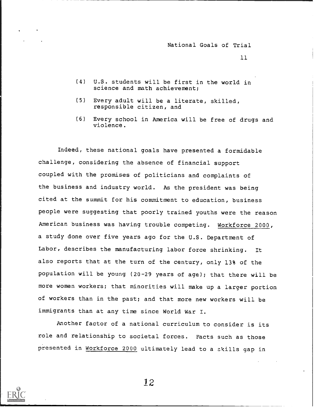11

- (4) U.S. students will be first in the world in science and math achievement;
- (5) Every adult will be a literate, skilled, responsible citizen, and
- (6) Every school in America will be free of drugs and violence.

Indeed, these national goals have presented a formidable challenge, considering the absence of financial support coupled with the promises of politicians and complaints of the business and industry world. As the president was being cited at the summit for his commitment to education, business people were suggesting that poorly trained youths were the reason American business was having trouble competing. Workforce 2000, a study done over five years ago for the U.S. Department of Labor, describes the manufacturing labor force shrinking. It also reports that at the turn of the century, only 13% of the population will be young (20-29 years of age); that there will be more women workers; that minorities will make up a larger portion of workers than in the past; and that more new workers will be immigrants than at any time since World War I.

Another factor of a national curriculum to consider is its role and relationship to societal forces. Facts such as those presented in Workforce 2000 ultimately lead to a zkills gap in

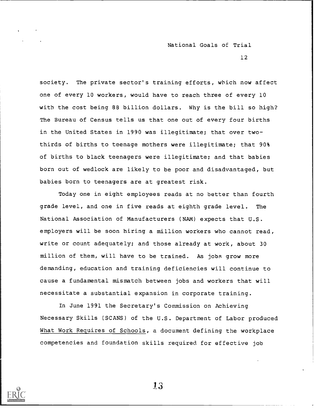12

society. The private sector's training efforts, which now affect one of every 10 workers, would have to reach three of every 10 with the cost being 88 billion dollars. Why is the bill so high? The Bureau of Census tells us that one out of every four births in the United States in 1990 was illegitimate; that over twothirds of births to teenage mothers were illegitimate; that 90% of births to black teenagers were illegitimate; and that babies born out of wedlock are likely to be poor and disadvantaged, but babies born to teenagers are at greatest risk.

Today one in eight employees reads at no better than fourth grade level, and one in five reads at eighth grade level. The National Association of Manufacturers (NAM) expects that U.S. employers will be soon hiring a million workers who cannot read, write or count adequately; and those already at work, about 30 million of them, will have to be trained. As jobs grow more demanding, education and training deficiencies will continue to cause a fundamental mismatch between jobs and workers that will necessitate a substantial expansion in corporate training.

In June 1991 the Secretary's Commission on Achieving Necessary Skills (SCANS) of the U.S. Department of Labor produced What Work Requires of Schools, a document defining the workplace competencies and foundation skills required for effective job

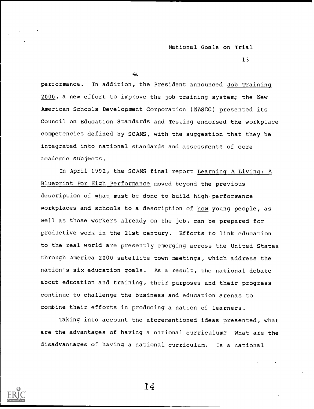13

 $\triangle$ 

performance. In addition, the President announced Job Training 2000, a new effort to improve the job training system; the New American Schools Development Corporation (NASDC) presented its Council on Education Standards and Testing endorsed the workplace competencies defined by SCANS, with the suggestion that they be integrated into national standards and assessments of core academic subjects.

In April 1992, the SCANS final report Learning A Living: A Blueprint For High Performance moved beyond the previous description of what must be done to build high-performance workplaces and schools to a description of how young people, as well as those workers already on the job, can be prepared for productive work in the 21st century. Efforts to link education to the real world are presently emerging across the United States through America 2000 satellite town meetings, which address the nation's six education goals. As a result, the national debate about education and training, their purposes and their progress continue to challenge the business and education arenas to combine their efforts in producing a nation of learners.

Taking into account the aforementioned ideas presented, what are the advantages of having a national curriculum? What are the disadvantages of having a national curriculum. Is a national

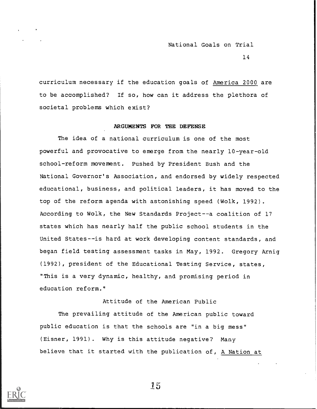14

curriculum necessary if the education goals of America 2000 are to be accomplished? If so, how can it address the plethora of societal problems which exist?

#### ARGUMENTS FOR THE DEFENSE

The idea of a national curriculum is one of the most powerful and provocative to emerge from the nearly 10-year-old school-reform movement. Pushed by President Bush and the National Governor's Association, and endorsed by widely respected educational, business, and political leaders, it has moved to the top of the reform agenda with astonishing speed (Wolk, 1992). According to Wolk, the New Standards Project--a coalition of 17 states which has nearly half the public school students in the United States--is hard at work developing content standards, and began field testing assessment tasks in May, 1992. Gregory Arnig (1992), president of the Educational Testing Service, states, "This is a very dynamic, healthy, and promising period in education reform."

Attitude of the American Public

The prevailing attitude of the American public toward public education is that the schools are "in a big mess" (Eisner, 1991). Why is this attitude negative? Many believe that it started with the publication of, A Nation at

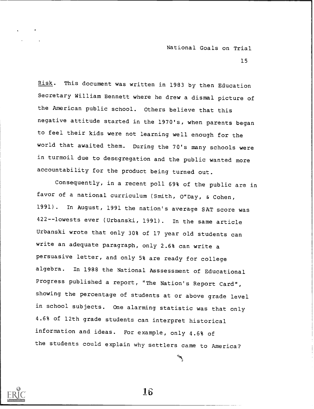15

Risk. This document was written in 1983 by then Education Secretary William Bennett where he drew a dismal picture of the American public school. Others believe that this negative attitude started in the 1970's, when parents began to feel their kids were not learning well enough for the world that awaited them. During the 70's many schools were in turmoil due to desegregation and the public wanted more accountability for the product being turned out.

Consequently, in a recent poll 69% of the public are in favor of a national curriculum (Smith, 0"Day, & Cohen, 1991). In August, 1991 the nation's average SAT score was 422--lowests ever (Urbanski, 1991). In the same article Urbanski wrote that only 30% of 17 year old students can write an adequate paragraph, only 2.6% can write <sup>a</sup> persuasive letter, and only 5% are ready for college algebra. In 1988 the National Asssessment of Educational Progress published a report, "The Nation's Report Card", showing the percentage of students at or above grade level in school subjects. One alarming statistic was that only 4.6% of 12th grade students can interpret historical information and ideas. For example, only 4.6% of the students could explain why settlers came to America?

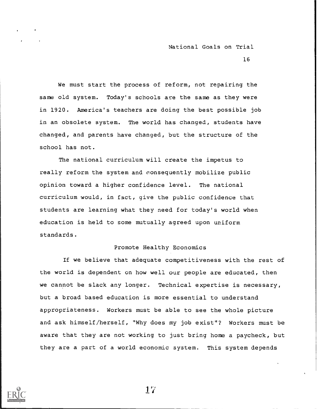16

We must start the process of reform, not repairing the same old system. Today's schools are the same as they were in 1920. America's teachers are doing the best possible job in an obsolete system. The world has changed, students have changed, and parents have changed, but the structure of the school has not.

The national curriculum will create the impetus to really reform the system and consequently mobilize public opinion toward a higher confidence level. The national curriculum would, in fact, give the public confidence that students are learning what they need for today's world when education is held to some mutually agreed upon uniform standards.

## Promote Healthy Economics

If we believe that adequate competitiveness with the rest of the world is dependent on how well our people are educated, then we cannot be slack any longer. Technical expertise is necessary, but a broad based education is more essential to understand appropriateness. Workers must be able to see the whole picture and ask himself/herself, "Why does my job exist"? Workers must be aware that they are not working to just bring home a paycheck, but they are a part of a world economic system. This system depends

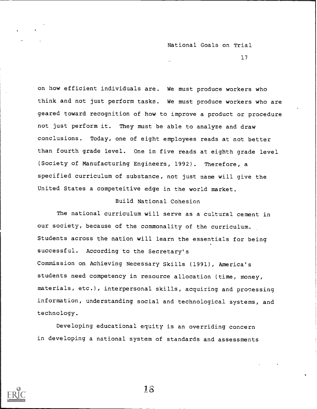17

on how efficient individuals are. We must produce workers who think and not just perform tasks. We must produce workers who are geared toward recognition of how to improve a product or procedure not just perform it. They must be able to analyze and draw conclusions. Today, one of eight employees reads at not better than fourth grade level. One in five reads at eighth grade level (Society of Manufacturing Engineers, 1992). Therefore, a specified curriculum of substance, not just name will give the United States a competeitive edge in the world market.

## Build National Cohesion

The national curriculum will serve as a cultural cement in our society, because of the commonality of the curriculum. Students across the nation will learn the essentials for being successful. According to the Secretary's Commission on Achieving Necessary Skills (1991), America's students need competency in resource allocation (time, money, materials, etc.), interpersonal skills, acquiring and processing information, understanding social and technological systems, and technology.

Developing educational equity is an overriding concern in developing a national system of standards and assessments

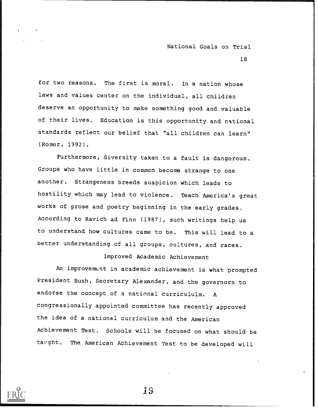18

for two reasons. The first is moral. In a nation whose laws and values center on the individual, all children deserve an opportunity to make something good and valuable of their lives. Education is this opportunity and national standards reflect our belief that "all children can learn" (Romer, 1992).

Furthermore, diversity taken to a fault is dangerous. Groups who have little in common become strange to one another. Strangeness breeds suspicion which leads to hostility which may lead to violence. Teach America's great works of prose and poetry beginning in the early grades.. According to Ravich ad Finn (1987), such writings help us to understand how cultures came to be. This will lead to a better understanding of all groups, cultures, and races.

## Improved Academic Achievement

An improvement in academic achievement is what prompted President Bush, Secretary Alexander, and the governors to endorse the concept of a national curricululm. A congressionally appointed committee has recently approved the idea of a national curriculum and the American Achievement Test. Schools will be focused on what should be taught. The American Achievement Test to be developed will



1 s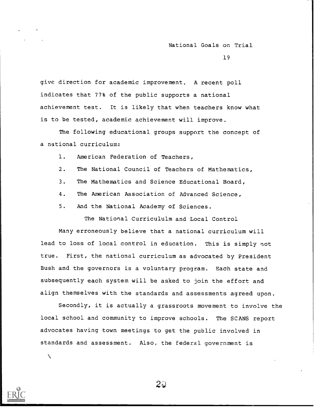19

give direction for academic improvement. A recent poll indicates that 77% of the public supports a national achievement test. It is likely that when teachers know what is to be tested, academic achievement will improve.

The following educational groups support the concept of a national curriculum:

1. American Federation of Teachers,

- 2. The National Council of Teachers of Mathematics,
- 3. The Mathematics and Science Educational Board,
- 4. The American Association of Advanced Science,
- 5. And the National Academy of Sciences.

The National Curricululm and Local Control

Many erroneously believe that a national curriculum will lead to loss of local control in education. This is simply not true. First, the national curriculum as advocated by President Bush and the governors is a voluntary program. Each state and subsequently each system will be asked to join the effort and align themselves with the standards and assessments agreed upon.

Secondly, it is actually a grassroots movement to involve the local school and community to improve schools. The SCANS report advocates having town meetings to get the public involved in standards and assessment. Also, the federal government is

À.



 $2\hat{\omega}$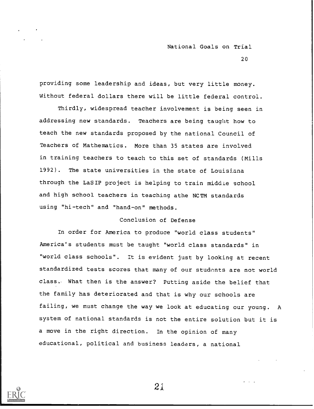20

providing some leadership and ideas, but very little money. Without federal dollars there will be little federal control.

Thirdly, widespread teacher involvement is being seen in addressing new standards. Teachers are being taught how to teach the new standards proposed by the national Council of Teachers of Mathematics. More than 35 states are involved in training teachers to teach to this set of standards (Mills 1992). The state universities in the state of Louisiana through the LaSIP project is helping to train middle school and high school teachers in teaching athe NCTM standards using "hi-tech" and "hand-on" methods.

#### Conclusion of Defense

In order for America to produce "world class students" America's students must be taught "world class standards" in "world class schools". It is evident just by looking at recent standardized tests scores that many of our students are not world class. What then is the answer? Putting aside the belief that the family has deteriorated and that is why our schools are failing, we must change the way we look at educating our young. A system of national standards is not the entire solution but it is a move in the right direction. In the opinion of many educational, political and business leaders, a national

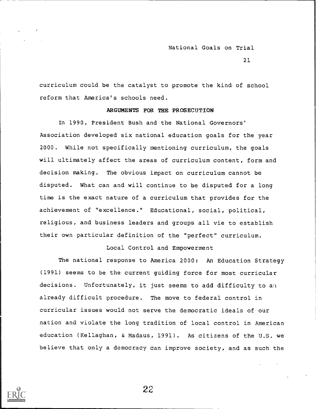21

curriculum could be the catalyst to promote the kind of school reform that America's schools need.

#### ARGUMENTS FOR THE PROSECUTION

In 1990, President Bush and the National Governors' Association developed six national education goals for the year 2000. While not specifically mentioning curriculum, the goals will ultimately affect the areas of curriculum content, form and decision making. The obvious impact on curriculum cannot be disputed. What can and will continue to be disputed for a long time is the exact nature of a curriculum that provides for the achievement of "excellence." Educational, social, political, religious, and business leaders and groups all vie to establish their own particular definition of the "perfect" curriculum.

#### Local Control and Empowerment

The national response to America 2000: An Education Strategy (1991) seems to be the current guiding force for most curricular decisions. Unfortunately, it just seems to add difficulty to an already difficult procedure. The move to federal control in curricular issues would not serve the democratic ideals of our nation and violate the long tradition of local control in American education (Kellaghan, & Madaus, 1991). As citizens of the U.S. we believe that only a democracy can improve society, and as such the

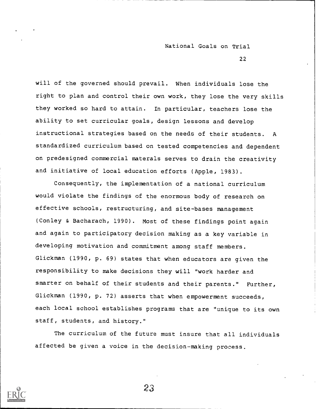22

will of the governed should prevail. When individuals lose the right to plan and control their own work, they lose the very skills they worked so hard to attain. In particular, teachers lose the ability to set curricular goals, design lessons and develop instructional strategies based on the needs of their students. A standardized curriculum based on tested competencies and dependent on predesigned commercial materals serves to drain the creativity and initiative of local education efforts (Apple, 1983).

Consequently, the implementation of a national curriculum would violate the findings of the enormous body of research on effective schools, restructuring, and site-bases management (Conley & Bacharach, 1990). Most of these findings point again and again to participatory decision making as a key variable in developing motivation and commitment among staff members. Glickman (1990, p. 69) states that when educators are given the responsibility to make decisions they will "work harder and smarter on behalf of their students and their parents." Further, Glickman (1990, p. 72) asserts that when empowerment succeeds, each local school establishes programs that are "unique to its own staff, students, and history."

The curriculum of the future must insure that all individuals affected be given a voice in the decision-making process.

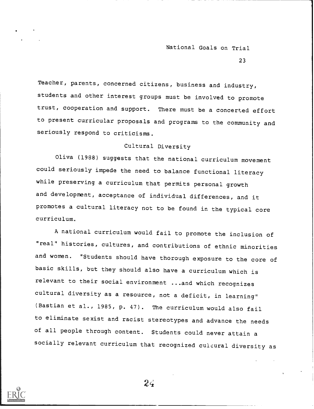23

Teacher, parents, concerned citizens, business and industry, students and other interest groups must be involved to promote trust, cooperation and support. There must be a concerted effort to present curricular proposals and programs to the community and seriously respond to criticisms.

## Cultural Diversity

Oliva (1988) suggests that the national curriculum movement could seriously impede the need to balance functional literacy while preserving a curriculum that permits personal growth and development, acceptance of individual differences, and it promotes a cultural literacy not to be found in the typical core curriculum.

A national curriculum would fail to promote the inclusion of "real" histories, cultures, and contributions of ethnic minorities and women. "Students should have thorough exposure to the core of basic skills, but they should also have a curriculum which is relevant to their social environment ...and which recognizes cultural diversity as a resource, not a deficit, in learning" (Bastian et al., 1985, p. 47). The curriculum would also fail to eliminate sexist and racist stereotypes and advance the needs of all people through content. Students could never attain <sup>a</sup> socially relevant curriculum that recognized culcural diversity as

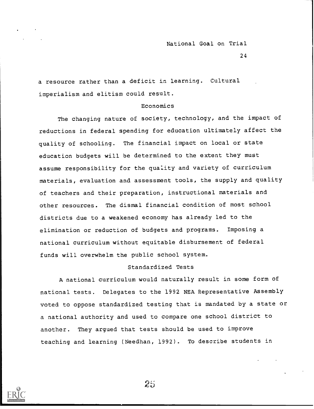24

a resource rather than a deficit in learning. Cultural imperialism and elitism could result.

#### Economics

The changing nature of society, technology, and the impact of reductions in federal spending for education ultimately affect the quality of schooling. The financial impact on local or state education budgets will be determined to the extent they must assume responsibility for the quality and variety of curriculum materials, evaluation and assessment tools, the supply and quality of teachers and their preparation, instructional materials and other resources. The dismal financial condition of most school districts due to a weakened economy has already led to the elimination or reduction of budgets and programs. Imposing a national curriculum without equitable disbursement of federal funds will overwhelm the public school system.

#### Standardized Tests

A national curriculum would naturally result in some form of national tests. Delegates to the 1992 NEA Representative Assembly voted to oppose standardized testing that is mandated by a state or a national authority and used to compare one school district to another. They argued that tests should be used to improve teaching and learning (Needhan, 1992). To describe students in

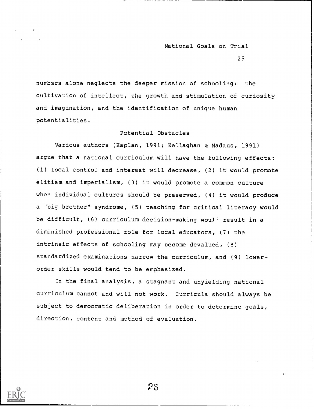25

numbers alone neglects the deeper mission of schooling: the cultivation of intellect, the growth and stimulation of curiosity and imagination, and the identification of unique human potentialities.

## Potential Obstacles

Various authors (Kaplan, 1991; Kellaghan & Madaus, 1991) argue that a national curriculum will have the following effects: (1) local control and interest will decrease, (2) it would promote elitism and imperialism, (3) it would promote a common culture when individual cultures should be preserved, (4) it would produce a "big brother" syndrome, (5) teaching for critical literacy would be difficult, (6) curriculum decision-making woul<sup>4</sup> result in a diminished professional role for local educators, (7) the intrinsic effects of schooling may become devalued, (8) standardized examinations narrow the curriculum, and (9) lowerorder skills would tend to be emphasized.

In the final analysis, a stagnant and unyielding national curriculum cannot and will not work. Curricula should always be subject to democratic deliberation in order to determine goals, direction, content and method of evaluation.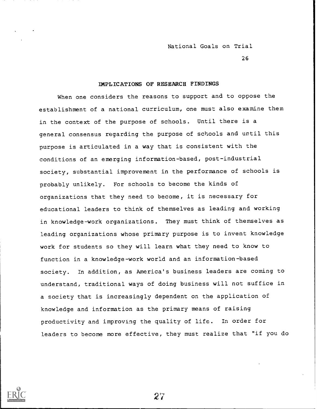26

#### IMPLICATIONS OF RESEARCH FINDINGS

When one considers the reasons to support and to oppose the establishment of a national curriculum, one must also examine them in the context of the purpose of schools. Until there is a general consensus regarding the purpose of schools and until this purpose is articulated in a way that is consistent with the conditions of an emerging information-based, post-industrial society, substantial improvement in the performance of schools is probably unlikely. For schools to become the kinds of organizations that they need to become, it is necessary for educational leaders to think of themselves as leading and working in knowledge-work organizations. They must think of themselves as leading organizations whose primary purpose is to invent knowledge work for students so they will learn what they need to know to function in a knowledge-work world and an information-based society. In addition, as America's business leaders are coming to understand, traditional ways of doing business will not suffice in a society that is increasingly dependent on the application of knowledge and information as the primary means of raising productivity and improving the quality of life. In order for leaders to become more effective, they must realize that "if you do

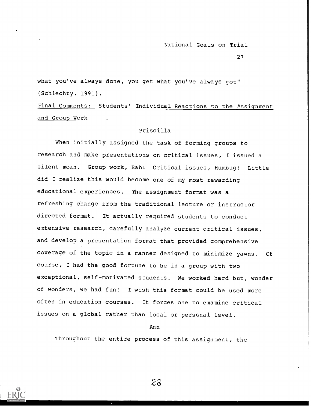27

what you've always done, you get what you've always got" (Schlechty, 1991).

Final Comments: Students' Individual Reactions to the Assignment and Group Work

#### Priscilla

When initially assigned the task of forming groups to research and make presentations on critical issues, I issued a silent moan. Group work, Bah! Critical issues, Humbug! Little did I realize this would become one of my most rewarding educational experiences. The assignment format was a refreshing change from the traditional lecture or instructor directed format. It actually required students to conduct extensive research, carefully analyze current critical issues, and develop a presentation format that provided comprehensive coverage of the topic in a manner designed to minimize yawns. Of course, I had the good fortune to be in a group with two exceptional, self-motivated students. We worked hard but, wonder of wonders, we had fun! I wish this format could be used more often in education courses. It forces one to examine critical issues on a global rather than local or personal level.

Ann

Throughout the entire process of this assignment, the

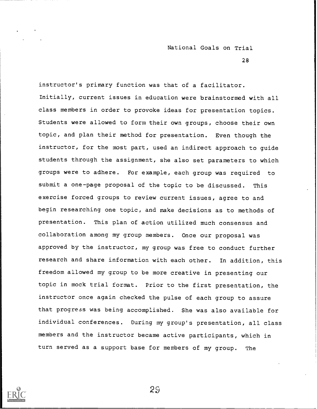28

instructor's primary function was that of a facilitator. Initially, current issues in education were brainstormed with all class members in order to provoke ideas for presentation topics. Students were allowed to form their own groups, choose their own topic, and plan their method for presentation. Even though the instructor, for the most part, used an indirect approach to guide students through the assignment, she also set parameters to which groups were to adhere. For example, each group was required to submit a one-page proposal of the topic to be discussed. This exercise forced groups to review current issues, agree to and begin researching one topic, and make decisions as to methods of presentation. This plan of action utilized much consensus and collaboration among my group members. Once our proposal was approved by the instructor, my group was free to conduct further research and share information with each other. In addition, this freedom allowed my group to be more creative in presenting our topic in mock trial format. Prior to the first presentation, the instructor once again checked the pulse of each group to assure that progress was being accomplished. She was also available for individual conferences. During my group's presentation, all class members and the instructor became active participants, which in turn served as a support base for members of my group. The

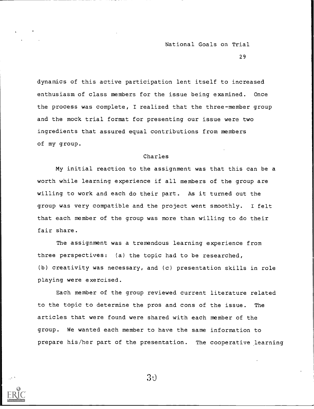29

dynamics of this active participation lent itself to increased enthusiasm of class members for the issue being examined. Once the process was complete, I realized that the three-member group and the mock trial format for presenting our issue were two ingredients that assured equal contributions from members of my group.

#### Charles

My initial reaction to the assignment was that this can be a worth while learning experience if all members of the group are willing to work and each do their part. As it turned out the group was very compatible and the project went smoothly. I felt that each member of the group was more than willing to do their fair share.

The assignment was a tremendous learning experience from three perspectives: (a) the topic had to be researched, (b) creativity was necessary, and (c) presentation skills in role playing were exercised.

Each member of the group reviewed current literature related to the topic to determine the pros and cons of the issue. The articles that were found were shared with each member of the group. We wanted each member to have the same information to prepare his/her part of the presentation. The cooperative learning



 $3()$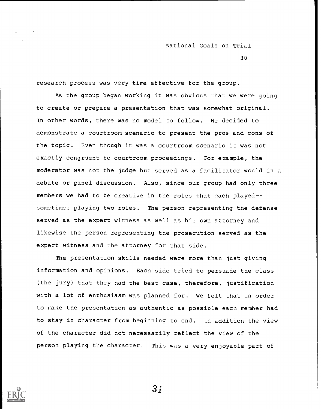30

research process was very time effective for the group.

As the group began working it was obvious that we were going to create or prepare a presentation that was somewhat original. In other words, there was no model to follow. We decided to demonstrate a courtroom scenario to present the pros and cons of the topic. Even though it was a courtroom scenario it was not exactly congruent to courtroom proceedings. For example, the moderator was not the judge but served as a facilitator would in a debate or panel discussion. Also, since our group had only three members we had to be creative in the roles that each played-sometimes playing two roles. The person representing the defense served as the expert witness as well as hi, own attorney and likewise the person representing the prosecution served as the expert witness and the attorney for that side.

The presentation skills needed were more than just giving information and opinions. Each side tried to persuade the class (the jury) that they had the best case, therefore, justification with a lot of enthusiasm was planned for. We felt that in order to make the presentation as authentic as possible each member had to stay in character from beginning to end. In addition the view of the character did not necessarily reflect the view of the person playing the character, This was a very enjoyable part of



 $3j$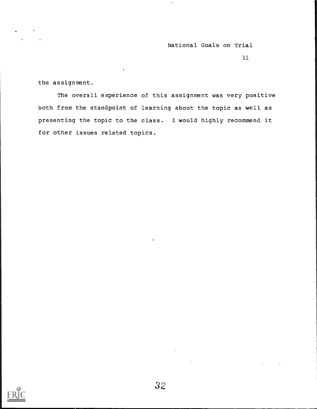31

the assignment.

The overall experience of this assignment was very positive both from the standpoint of learning about the topic as well as presenting the topic to the class. I would highly recommend it for other issues related topics.

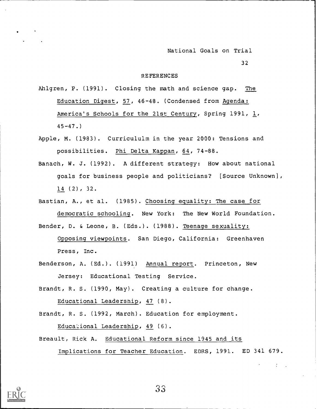32

#### REFERENCES

Ahlgren, P. (1991). Closing the math and science gap. The Education Digest, 57, 46-48. (Condensed from Agenda: America's Schools for the 21st Century, Spring 1991, 1,  $45 - 47.$ 

- Apple, M. (1983). Curricululm in the year 2000: Tensions and possibilities. Phi Delta Kappan, 64, 74-88.
- Banach, W. J. (1992). A different strategy: How about national goals for business people and politicians? [Source Unknown], 14 (2), 32.
- Bastian, A., et al. (1985). Choosing equality: The case for democratic schooling. New York: The New World Foundation. Bender, D. & Leone, B. (Eds.). (1988). Teenage sexuality:

Opposing viewpoints. San Diego, California: Greenhaven Press, Inc.

- Benderson, A. (Ed.). (1991) Annual report. Princeton, New Jersey: Educational Testing Service.
- Brandt, R. S. (1990, May). Creating a culture for change. Educational Leadership, 47 (8).
- Brandt, R. S. (1992, March). Education for employment.

Educational Leadership, 49 (6).

Breault, Rick A. Educational Reform since 1945 and its Implications for Teacher Education. EDRS, 1991. ED 341 679.

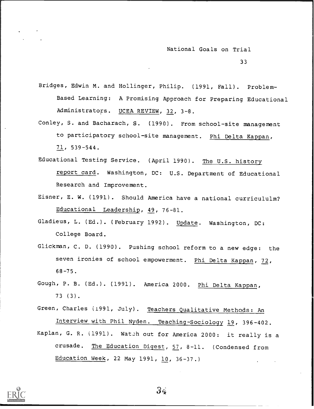Bridges, Edwin M. and Hollinger, Philip. (1991, Fall). Problem-Based Learning: A Promising Approach for Preparing Educational Administrators. UCEA REVIEW, 32, 3-8.

- Conley, S. and Bacharach, S. (1990). From school-site management to participatory school-site management. Phi Delta Kappan, 71, 539-544.
- Educational Testing Service. (April 1990). The U.S. history report card. Washington, DC: U.S. Department of Educational Research and Improvement.
- Eisner, E. W. (1991). Should America have a national curricululm? Educational Leadership, 49, 76-81.
- Gladieus, L. (Ed.). (February 1992). Update. Washington, DC: College Board.
- Glickman, C. D. (1990). Pushing school reform to a new edge: the seven ironies of school empowerment. Phi Delta Kappan, 72, 68-75.
- Gough, P. B. (Ed.). (1991). America 2000. Phi Delta Kappan, 73 (3).
- Green, Charles (1991, July). Teachers Qualitative Methods: An Interview with Phil Nyden. Teaching-Sociology 19, 396-402. Kaplan, G. R. (1991). Watch out for America 2000: it really is a crusade. The Education Digest, 57, 8-11. (Condensed from Education Week, 22 May 1991, 10, 36-37.)

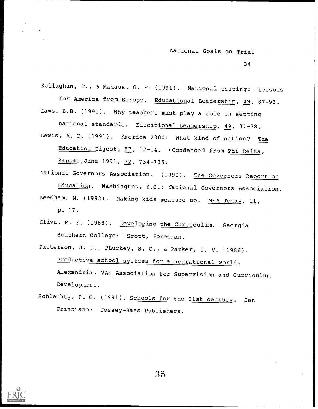34

Kellaghan, T., & Madaus, G. F. (1991). National testing: Lessons for America from Europe. Educational Leadership, 49, 87-93. Laws, B.B. (1991). Why teachers must play a role in setting national standards. Educational Leadership, 49, 37-38. Lewis, A. C. (1991). America 2000: What kind of nation? The

Education Digest, 57, 12-14. (Condensed from Phi Delta, Kappan,June 1991, 72, 734-735.

National Governors Association. (1990). The Governors Report on Education. Washington, D.C.: National Governors Association. Needham, N. (1992). Making kids measure up. NEA Today,  $11$ , p. 17.

Oliva, P. F. (1988). Developing the Curriculum. Georgia Southern College: Scott, Foresman.

Patterson, J. L., PLurkey, S. C., & Parker, J. V. (1986). Productive school systems for a nonrational world. Alexandria, VA: Association for Supervision and Curriculum Development.

Schlechty, P. C. (1991). Schools for the 21st century. San Francisco: Jossey-Bass Publishers.



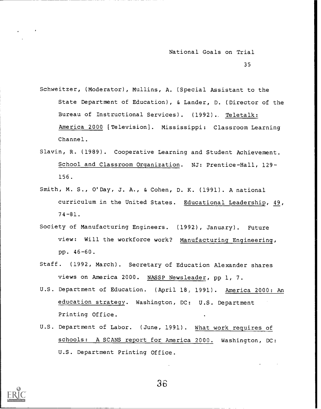35

- Schweitzer, (Moderator), Mullins, A. (Special Assistant to the State Department of Education), & Lander, D. (Director of the Bureau of Instructional Services). (1992).. Teletalk: America 2000 [Television]. Mississippi: Classroom Learning Channel.
- Slavin, R. (1989). Cooperative Learning and Student Achievement. School and Classroom Organization. NJ: Prentice-Hall, 129- 156.
- Smith, M. S., O'Day, J. A., & Cohen, D. K. (1991). A national curriculum in the United States. Educational Leadership, 49, 74-81.
- Society of Manufacturing Engineers. (1992), January). Future view: Will the workforce work? Manufacturing Engineering, pp. 46-60.
- Staff. (1992, March). Secretary of Education Alexander shares views on America 2000. NASSP Newsleader, pp 1, 7.
- U.S. Department of Education. (April 18, 1991). America 2000: An education strategy. Washington, DC: U.S. Department Printing Office.
- U.S. Department of Labor. (June, 1991). What work requires of schools: A SCANS report for America 2000. Washington, DC: U.S. Department Printing Office.

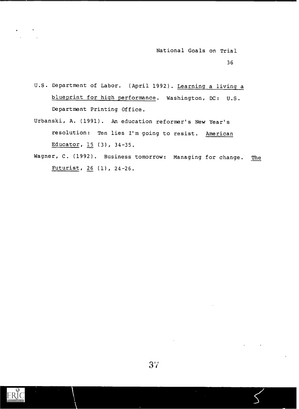- U.S. Department of Labor. (April 1992). Learning a living a blueprint for high performance. Washington, DC: U.S. Department Printing Office.
- Urbanski, A. (1991). An education reformer's New Year's resolution: Ten lies I'm going to resist. American Educator, 15 (3), 34-35.
- Wagner, C. (1992). Business tomorrow: Managing for change. The Futurist, 26 (1), 24-26.

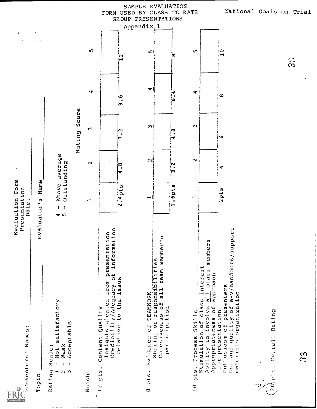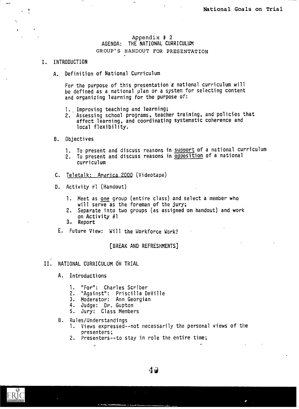## Appendix # <sup>2</sup> AGENDA: THE NATIONAL CURRICULUM GROUP'S HANDOUT FOR PRESENTATION

## I. INTRODUCTION

 $\rightarrow$ 

 $\frac{1}{2}$ 

 $\ddot{\phantom{0}}$ 

A. Definition of National Curriculum

For the purpose of this presentation a national curriculum will be defined as a national plan or a system for selecting content and organizing learning for the purpose of:

- 1. Improving teaching and learning;
- 2. Assessing school programs, teacher training, and policies that affect learning, and coordinating systematic coherence and local flexibility.
- B. Objectives
	- 1. To present and discuss reasons in support of a national curriculum
	- 2. To present and discuss reasons in opposition of a national curriculum
- C. Teletalk: America 2000 (Videotape)
- D. Activity  $\neq$ 1 (Handout)
	- 1. Meet as one group (entire class) and select a member who will serve as the foreman of the jury;
	- 2. Separate into two groups (as assigned on handout) and work on Activity #1
	- 3. Report
- E. Future View: Will the Workforce Work?

[BREAK AND REFRESHMENTS]

- II. NATIONAL CURRICULUM ON TRIAL
	- A. Introductions
		- 1. "For": Charles Scriber
		- 2. "Against": Priscilla DeVille
		- 3. Moderator: Ann Georgian
		- 4. Judge: Dr. Gupton
		- 5. Jury: Class Members
	- B. Rules/Understandings
		- 1. Views expressed--not necessarily the personal views of the presenters;
		- 2. Presenters--to stay in role the entire time;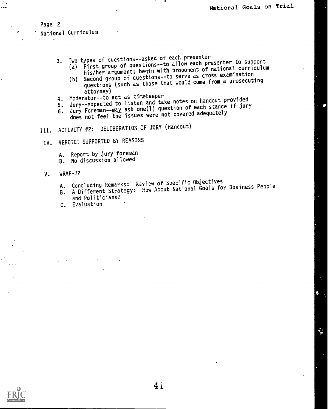## Page 2

National Curriculum

- 
- 3. Two types of questions--asked of each presenter (a) First group of questions--to allow each presenter to support his/her argument; begin with proponent of national curriculum
	- (b) Second group of questions--to serve as cross examination questions (such as those that would come from a prosecuting<br>attorney)
- 4. Moderator--to act as timekeeper
- 4. Moderator--to act as timekeeper 5. Jury--expected to listen and take notes on handout provided
- 6. Jury Foreman--may ask one(1) question of each stance if jury does not feel the issues were not covered adequately
- III. ACTIVITY #2: DELIBERATION OF JURY (Handout)
- IV. VERDICT SUPPORTED BY REASONS
	- A. Report by jury foreman
	- B. No discussion allowed
- 
- V. WRAP-UP<br>A. Concluding Remarks: Review of Specific Objectives
	- A. Concluding Remarks: Review of Specific Objectives A. Concluding Remarks: Reflex Dout National Goals for Business People<br>B. A Different Strategy: How About National Goals for Business People
	- and Politicians?
	- C. Evaluation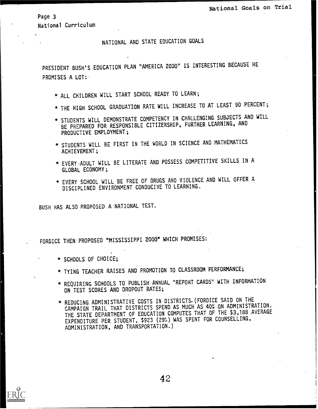Page 3

National Curriculum

NATIONAL AND STATE EDUCATION GOALS

PRESIDENT BUSH'S EDUCATION PLAN "AMERICA 2000" IS INTERESTING BECAUSE HE PROMISES A LOT:

- \* ALL CHILDREN WILL START SCHOOL READY TO LEARN;
- \* THE HIGH SCHOOL GRADUATION RATE WILL INCREASE TO AT LEAST 90 PERCENT;
- \* STUDENTS WILL DEMONSTRATE COMPETENCY IN CHALLENGING SUBJECTS AND WILL BE PREPARED FOR RESPONSIBLE CITIZENSHIP, FURTHER LEARNING, AND PRODUCTIVE EMPLOYMENT;
- \* STUDENTS WILL BE FIRST IN THE WORLD IN SCIENCE AND MATHEMATICS ACHIEVEMENT;
- \* EVERY ADULT WILL BE LITERATE AND POSSESS COMPETITIVE SKILLS IN A GLOBAL ECONOMY;
- \* EVERY SCHOOL WILL BE FREE OF DRUGS AND VIOLENCE AND WILL OFFER A DISCIPLINED ENVIRONMENT CONDUCIVE TO LEARNING.

BUSH HAS ALSO PROPOSED A NATIONAL TEST.

FORDICE THEN PROPOSED "MISSISSIPPI 2000" WHICH PROMISES:

- \* SCHOOLS OF CHOICE;
- \* TYING TEACHER RAISES AND PROMOTION TO CLASSROOM PERFORMANCE;
- \* REQUIRING SCHOOLS TO PUBLISH ANNUAL "REPORT CARDS" WITH INFORMATION ON TEST SCORES AND DROPOUT RATES;
- \* REDUCING ADMINISTRATIVE COSTS IN DISTRICTS.(FORDICE SAID ON THE CAMPAIGN TRAIL THAT DISTRICTS SPEND AS MUCH AS 40% ON ADMINISTRATION. THE STATE DEPARTMENT OF EDUCATION COMPUTES THAT OF THE \$3,188 AVERAGE EXPENDITURE PER STUDENT, \$923 (29%) WAS SPENT FOR COUNSELLING, ADMINISTRATION, AND TRANSPORTATION.)

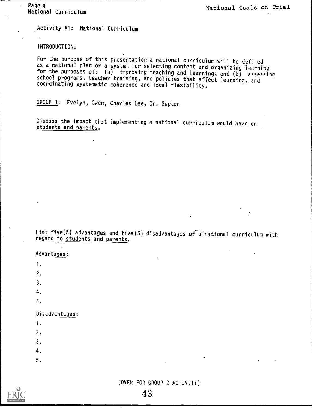Activity #1: National Curriculum

INTRODUCTION:

For the purpose of this presentation a national curriculum will be defined as a national plan or a system for selecting content and organizing learning for the purposes of: (a) improving teaching and learning; and (b) assessing school programs, teacher training, and policies that affect learning, and coordinating systematic coherence and local flexibility.

GROUP 1: Evelyn, Gwen, Charles Lee, Dr. Gupton

Discuss the impact that implementing a national curriculum would have on

List five(5) advantages and five(5) disadvantages of a national curriculum with regard to students and parents.

### Advantages:

1.

2.

3.

4.

5.

## Disadvantages:

- 1.
- 2.
- 3.
- 4
- 
- 5.

(OVER FOR GROUP 2 ACTIVITY)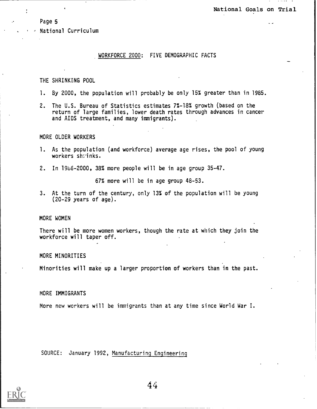Page 5

National Curriculum

## WORKFORCE 2000: FIVE DEMOGRAPHIC FACTS

#### THE SHRINKING POOL

- 1. By 2000, the population will probably be only 15% greater than in 1985.
- 2. The U.S. Bureau of Statistics estimates 7%-18% growth (based on the return of large families, lower death rates through advances in cancer and AIDS treatment, and many immigrants).

#### MORE OLDER WORKERS

- 1. As the population (and workforce) average age rises, the pool of young workers shrinks.
- 2. In 19b6-2000, 38% more people will be in age group 35-47.

67% more will be in age group 48-53.

3. At the turn of the century, only 13% of the population will be young (20-29 years of age).

#### MORE WOMEN

There will be more women workers, though the rate at which they join the workforce will taper off.

#### MORE MINORITIES

Minorities will make up a larger proportion of workers than in the past.

#### MORE IMMIGRANTS

More new workers will be immigrants than at any time since World War I.

SOURCE: January 1992, Manufacturing Engineering

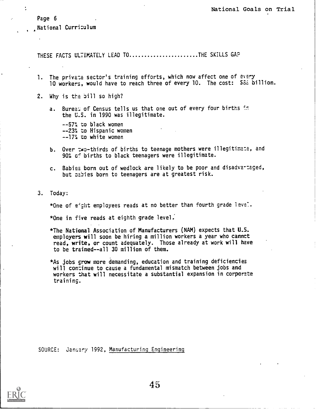Page 6

t

National Curri:ulum

THESE FACTS ULTIMATELY LEAD TO.....................THE SKILLS GAP

- 1. The private sector's training efforts, which now affect one of every 10 workers, would have to reach three of every 10. The cost: SEE billion.
- 2. Why is the bill so high?
	- a. Bureat of Census tells us that one out of every four births in the U.S. in 1990 was illegitimate.

--57% to black women --23% to Hispanic women  $-17<sup>2</sup>$  to white women

- b. Over two-thirds of births to teenage mothers were illegitimate, and  $90\%$  o<sup> $\pm$ </sup> births to black teenagers were illegitimate.
- c. Babies born out of wedlock are likely to be poor and disadva-taged, but pabies born to teenagers are at greatest risk.
- 3. Today:

\*One of eight employees reads at no better than fourth grade level.

\*One in five reads at eighth grade level:

- \*The National Association of Manufacturers (NAM) expects that U.S. employers will soon be hiring a million workers a year who cannct read, write, or count adequately. Those already at work will have to be trained- -all 30 million of them.
- \*As jobs grow more demanding, education and training deficiencies will conzinue to cause a fundamental mismatch between jobs and workers that will necessitate a substantial expansion in corporate training.

SOURCE: January 1992, Manufacturing Engineering

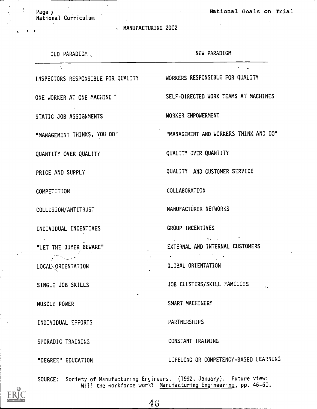Page 7 and 1998 and 1999 and 1999 and 1999 and 1999 and 1999 and 1999 and 1999 and 1999 and 1999 and 1999 and 1999 and 1999 and 1999 and 1999 and 1999 and 1999 and 1999 and 1999 and 1999 and 1999 and 1999 and 1999 and 1999

National Curriculum

 $\ddot{\phantom{a}}$ 

MANUFACTURING 2002

|  | OLD PARADIGM. |  |
|--|---------------|--|
|--|---------------|--|

## NEW PARADIGM

INSPECTORS RESPONSIBLE FOR QUALITY WORKERS RESPONSIBLE FOR QUALITY

STATIC JOB ASSIGNMENTS WORKER EMPOWERMENT

QUANTITY OVER QUALITY QUALITY OVER QUANTITY

INDIVIDUAL INCENTIVES GROUP INCENTIVES

 $r \rightarrow -$ 

/

LOCAL\ORIENTATION GLOBAL ORIENTATION

INDIVIDUAL EFFORTS PARTNERSHIPS

ONE WORKER AT ONE MACHINE "SELF-DIRECTED WORK TEAMS AT MACHINES

 $\mathcal{A}^{\mathcal{A}}$  ,  $\mathcal{A}^{\mathcal{A}}$ 

"MANAGEMENT THINKS, YOU DO" "MANAGEMENT AND WORKERS THINK AND DO"

PRICE AND SUPPLY **Example 20 SERVICE** PRICE AND SUPPLY

COMPETITION COLLABORATION

COLLUSION/ANTITRUST MANUFACTURER NETWORKS

"LET THE BUYER BEWARE" EXTERNAL AND INTERNAL CUSTOMERS

 $\mathcal{A}_{\mathcal{A}}$  and  $\mathcal{A}_{\mathcal{A}}$  are the set of  $\mathcal{A}_{\mathcal{A}}$ 

 $\mathcal{L}^{\text{max}}(\mathcal{L}^{\text{max}})$  , where  $\mathcal{L}^{\text{max}}(\mathcal{L}^{\text{max}})$ 

SINGLE JOB SKILLS JOB CLUSTERS/SKILL FAMILIES

MUSCLE POWER SMART MACHINERY

SPORADIC TRAINING CONSTANT TRAINING

"DEGREE" EDUCATION LIFELONG OR COMPETENCY-BASED LEARNING

SOURCE: Society of Manufacturing Engineers. (1992, January). Future view: Will the workforce work? <u>Manufacturing Engineering</u>, pp. 46–60.

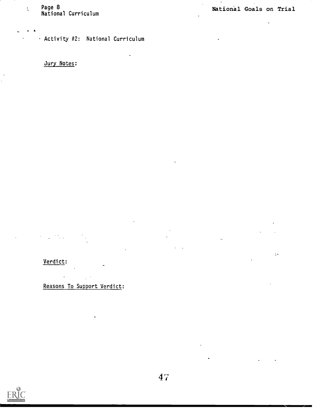$\mathcal{L}_{\mathbf{r}}$ 

: Page 8<br>National Curriculum

Activity #2: National Curriculum

 $\ddot{\phantom{a}}$ 

Jury Notes:

 $\epsilon = 4$ 

 $\bar{\mathbf{k}}$  $\ddot{\phantom{a}}$ 

 $\ddot{\phantom{a}}$ 

 $\mathcal{O}_{\mathcal{O}_{\mathcal{A},\mathcal{A}}}$  $\mathcal{L}$  $\frac{1}{2}$  .

Verdict:  $\mathcal{L}(\mathcal{A})$  and  $\mathcal{L}(\mathcal{A})$ 

Reasons To Support Verdict: